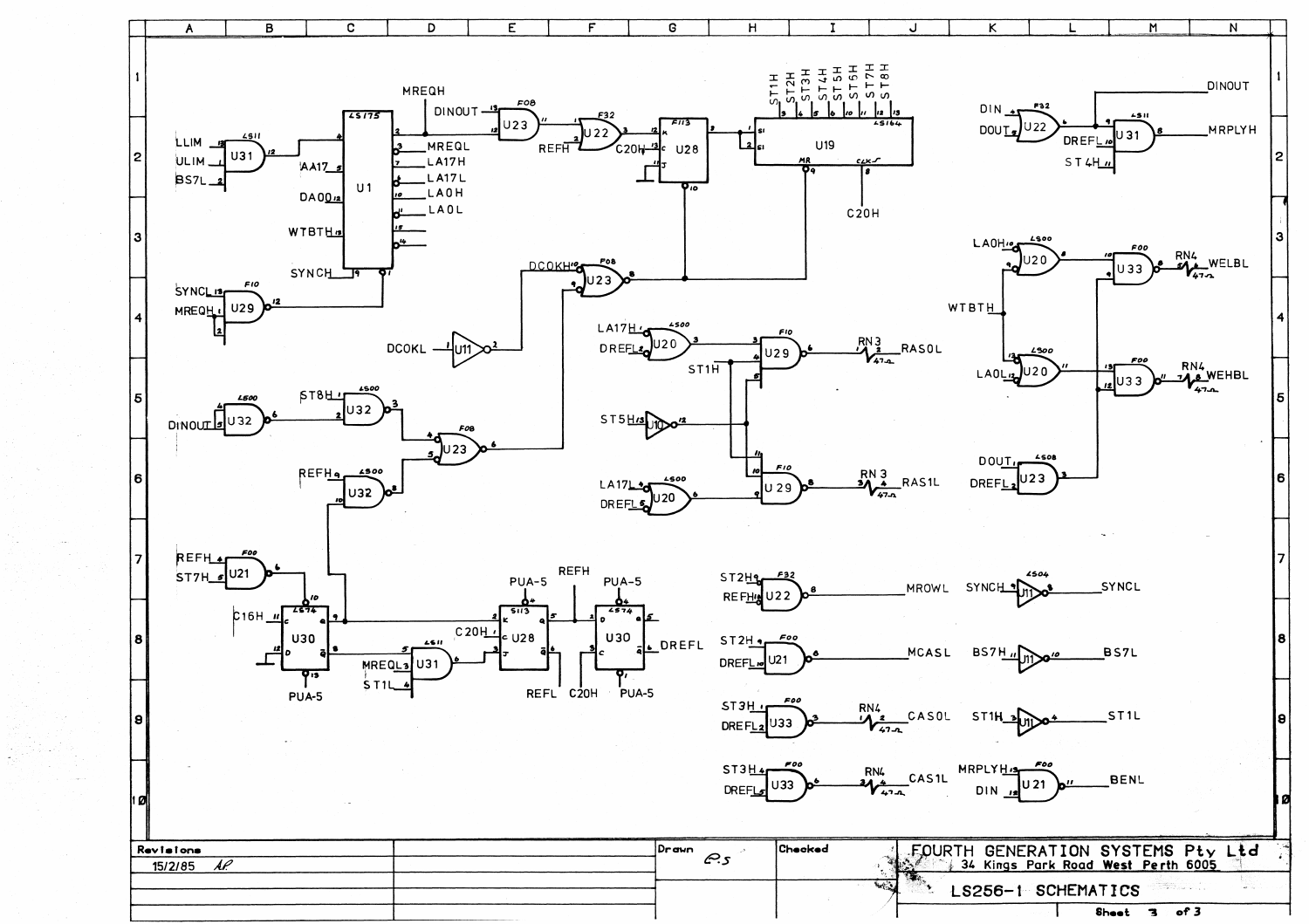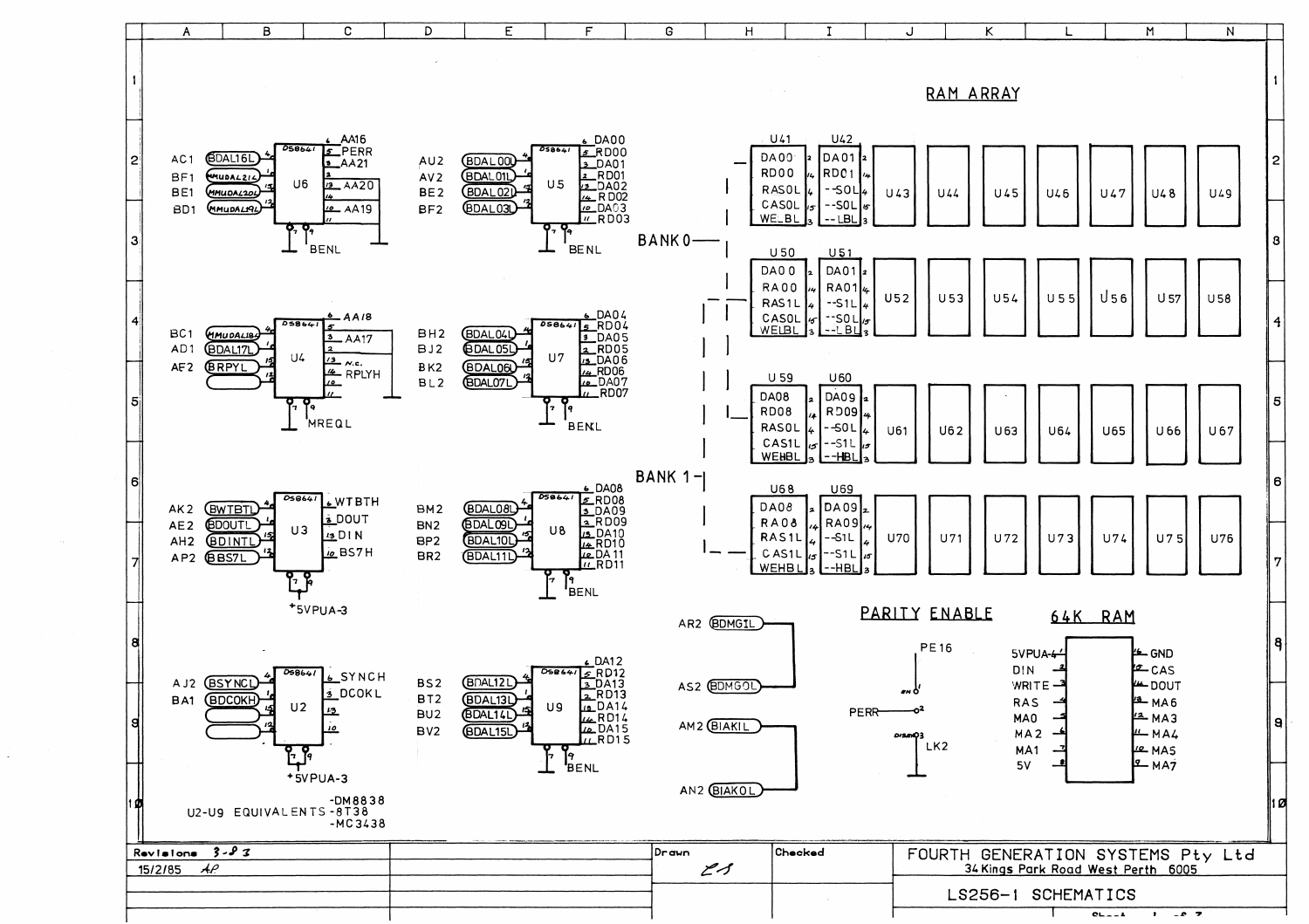